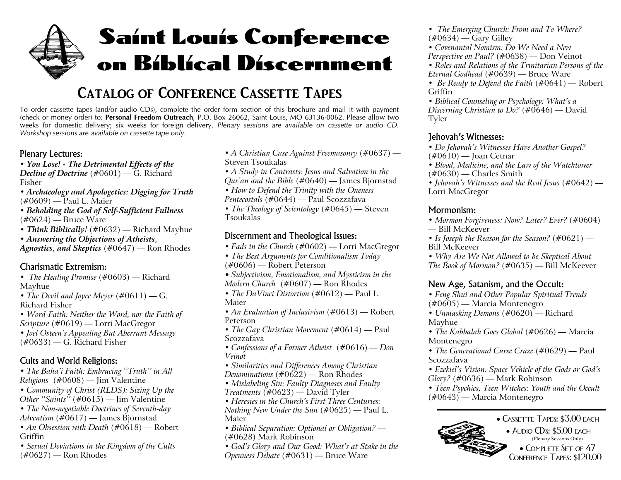# Saint Louis Conference on Biblical Discernment

## **Catalog of Conference Cassette Tapes**

To order cassette tapes (and/or audio CDs), complete the order form section of this brochure and mail it with payment (check or money order) to: **Personal Freedom Outreach**, P.O. Box 26062, Saint Louis, MO 63136-0062. Please allow two weeks for domestic delivery; six weeks for foreign delivery. Plenary sessions are available on cassette or audio CD. *Workshop sessions are available on cassette tape only.*

#### Plenary Lectures:

*• You Lose! - The Detrimental Effects of the Decline of Doctrine* (#0601) — G. Richard Fisher

*• Archaeology and Apologetics: Digging for Truth* (#0609) — Paul L. Maier

- *• Beholding the God of Self-Sufficient Fullness*  $(\#0624)$  — Bruce Ware
- *• Think Biblically!* (#0632) Richard Mayhue

*• Answering the Objections of Atheists,*

*Agnostics, and Skeptics* (#0647) — Ron Rhodes

#### Charismatic Extremism:

- *• The Healing Promise* (#0603) Richard Mayhue
- *• The Devil and Joyce Meyer* (#0611) G. Richard Fisher
- *• Word-Faith: Neither the Word, nor the Faith of Scripture* (#0619) — Lorri MacGregor
- *Joel Osteen's Appealing But Aberrant Message*  $(\text{\#}0633)$  — G. Richard Fisher

#### Cults and World Religions:

- *• The Baha'i Faith: Embracing ''Truth'' in All Religions* (#0608) — Jim Valentine
- *Community of Christ (RLDS): Sizing Up the Other ''Saints''* (#0615) — Jim Valentine
- *The Non-negotiable Doctrines of Seventh-day*
- *Adventism* (#0617) James Bjornstad
- *An Obsession with Death* (#0618) Robert Griffin
- *Sexual Deviations in the Kingdom of the Cults*  $(\text{\#}0627)$  — Ron Rhodes
- *• A Christian Case Against Freemasonry* (#0637) Steven Tsoukalas
- *• A Study in Contrasts: Jesus and Salvation in the Qur'an and the Bible* (#0640) — James Bjornstad
- *• How to Defend the Trinity with the Oneness*

*Pentecostals* (#0644) — Paul Scozzafava • *The Theology of Scientology* (#0645) — Steven Tsoukalas

#### Discernment and Theological Issues:

- *• Fads in the Church* (#0602) Lorri MacGregor
- *• The Best Arguments for Conditionalism Today* (#0606) — Robert Peterson
- *Subjectivism, Emotionalism, and Mysticism in the Modern Church* (#0607) — Ron Rhodes
- *• The DaVinci Distortion* (#0612) Paul L. Maier
- *• An Evaluation of Inclusivism* (#0613) Robert Peterson
- *• The Gay Christian Movement* (#0614) Paul Scozzafava
- *• Confessions of <sup>a</sup> Former Atheist* (#0616) *— Don Veinot*
- *• Similarities and Differences Among Christian*
- *Denominations* (#0622) Ron Rhodes
- *• Mislabeling Sin: Faulty Diagnoses and Faulty Treatments* (#0623) — David Tyler
- *• Heresies in the Church's First Three Centuries: Nothing New Under the Sun* (#0625) — Paul L. Maier
- *Biblical Separation: Optional or Obligation?* (#0628) Mark Robinson
- *• God's Glory and Our Good: What's at Stake in the Openness Debate* (#0631) — Bruce Ware
- *• The Emerging Church: From and To Where?*  $(\text{\#}0634)$  — Gary Gilley
- *Covenantal Nomism: Do We Need <sup>a</sup> NewPerspective on Paul?* (#0638) — Don Veinot
- *• Roles and Relations of the Trinitarian Persons of the Eternal Godhead* (#0639) — Bruce Ware
- *• Be Ready to Defend the Faith* (#0641) Robert Griffin
- *• Biblical Counseling or Psychology: What's <sup>a</sup> Discerning Christian to Do?* (#0646) — David Tyler

#### Jehovah's Witnesses:

- *Do Jehovah's Witnesses Have Another Gospel?* (#0610) — Joan Cetnar
- *• Blood, Medicine, and the Law of the Watchtower*  $(\text{\#}0630)$  — Charles Smith
- *• Jehovah's Witnesses and the Real Jesus* (#0642) Lorri MacGregor

#### Mormonism:

- *• Mormon Forgiveness: Now? Later? Ever?* (#0604) — Bill McKeever
- *• Is Joseph the Reason for the Season?* (#0621) Bill McKeever
- *• Why Are We Not Allowed to be Skeptical About The Book of Mormon?* (#0635) — Bill McKeever

#### New Age, Satanism, and the Occult:

- *• Feng Shui and Other Popular Spiritual Trends* (#0605) — Marcia Montenegro
- *• Unmasking Demons* (#0620) Richard Mayhue
- *• The Kabbalah Goes Global* (#0626) Marcia Montenegro
- *The Generational Curse Craze* (#0629) Paul Scozzafava
- *Ezekiel's Vision: Space Vehicle of the Gods or God's Glory?* (#0636) — Mark Robinson
- *Teen Psychics, Teen Witches: Youth and the Occult* (#0643) — Marcia Montenegro